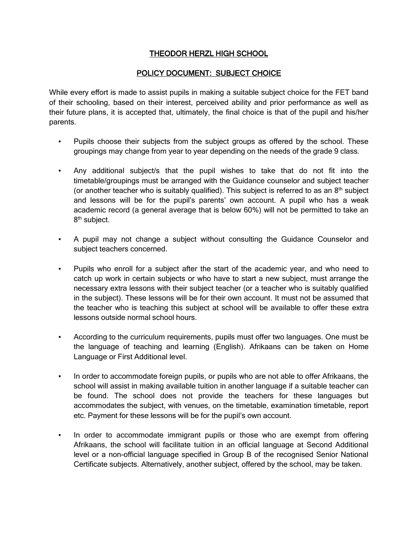## THEODOR HERZL HIGH SCHOOL

## POLICY DOCUMENT: SUBJECT CHOICE

While every effort is made to assist pupils in making a suitable subject choice for the FET band of their schooling, based on their interest, perceived ability and prior performance as well as their future plans, it is accepted that, ultimately, the final choice is that of the pupil and his/her parents.

- Pupils choose their subjects from the subject groups as offered by the school. These groupings may change from year to year depending on the needs of the grade 9 class.
- Any additional subject/s that the pupil wishes to take that do not fit into the timetable/groupings must be arranged with the Guidance counselor and subject teacher (or another teacher who is suitably qualified). This subject is referred to as an  $8<sup>th</sup>$  subject and lessons will be for the pupil's parents' own account. A pupil who has a weak academic record (a general average that is below 60%) will not be permitted to take an 8<sup>th</sup> subject.
- A pupil may not change a subject without consulting the Guidance Counselor and subject teachers concerned.
- Pupils who enroll for a subject after the start of the academic year, and who need to catch up work in certain subjects or who have to start a new subject, must arrange the necessary extra lessons with their subject teacher (or a teacher who is suitably qualified in the subject). These lessons will be for their own account. It must not be assumed that the teacher who is teaching this subject at school will be available to offer these extra lessons outside normal school hours.
- According to the curriculum requirements, pupils must offer two languages. One must be the language of teaching and learning (English). Afrikaans can be taken on Home Language or First Additional level.
- In order to accommodate foreign pupils, or pupils who are not able to offer Afrikaans, the school will assist in making available tuition in another language if a suitable teacher can be found. The school does not provide the teachers for these languages but accommodates the subject, with venues, on the timetable, examination timetable, report etc. Payment for these lessons will be for the pupil's own account.
- In order to accommodate immigrant pupils or those who are exempt from offering Afrikaans, the school will facilitate tuition in an official language at Second Additional level or a non-official language specified in Group B of the recognised Senior National Certificate subjects. Alternatively, another subject, offered by the school, may be taken.